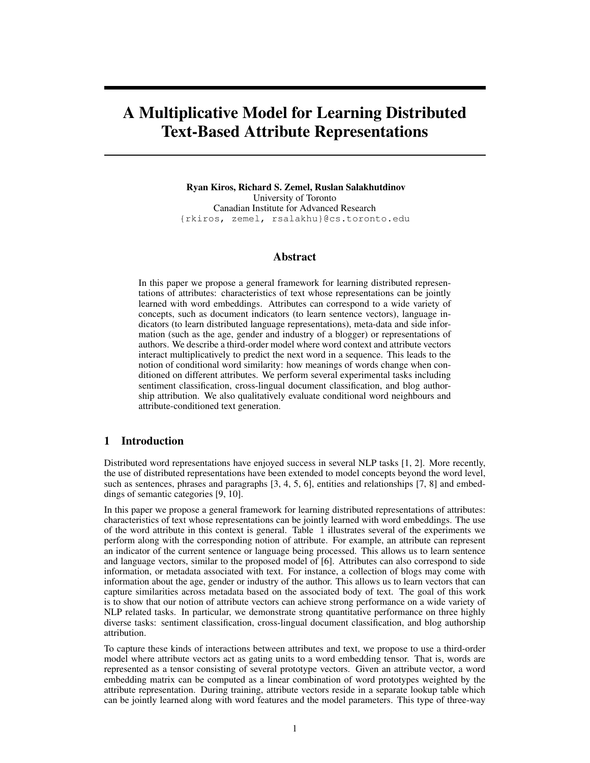# A Multiplicative Model for Learning Distributed Text-Based Attribute Representations

Ryan Kiros, Richard S. Zemel, Ruslan Salakhutdinov University of Toronto Canadian Institute for Advanced Research {rkiros, zemel, rsalakhu}@cs.toronto.edu

## Abstract

In this paper we propose a general framework for learning distributed representations of attributes: characteristics of text whose representations can be jointly learned with word embeddings. Attributes can correspond to a wide variety of concepts, such as document indicators (to learn sentence vectors), language indicators (to learn distributed language representations), meta-data and side information (such as the age, gender and industry of a blogger) or representations of authors. We describe a third-order model where word context and attribute vectors interact multiplicatively to predict the next word in a sequence. This leads to the notion of conditional word similarity: how meanings of words change when conditioned on different attributes. We perform several experimental tasks including sentiment classification, cross-lingual document classification, and blog authorship attribution. We also qualitatively evaluate conditional word neighbours and attribute-conditioned text generation.

## 1 Introduction

Distributed word representations have enjoyed success in several NLP tasks [1, 2]. More recently, the use of distributed representations have been extended to model concepts beyond the word level, such as sentences, phrases and paragraphs [3, 4, 5, 6], entities and relationships [7, 8] and embeddings of semantic categories [9, 10].

In this paper we propose a general framework for learning distributed representations of attributes: characteristics of text whose representations can be jointly learned with word embeddings. The use of the word attribute in this context is general. Table 1 illustrates several of the experiments we perform along with the corresponding notion of attribute. For example, an attribute can represent an indicator of the current sentence or language being processed. This allows us to learn sentence and language vectors, similar to the proposed model of [6]. Attributes can also correspond to side information, or metadata associated with text. For instance, a collection of blogs may come with information about the age, gender or industry of the author. This allows us to learn vectors that can capture similarities across metadata based on the associated body of text. The goal of this work is to show that our notion of attribute vectors can achieve strong performance on a wide variety of NLP related tasks. In particular, we demonstrate strong quantitative performance on three highly diverse tasks: sentiment classification, cross-lingual document classification, and blog authorship attribution.

To capture these kinds of interactions between attributes and text, we propose to use a third-order model where attribute vectors act as gating units to a word embedding tensor. That is, words are represented as a tensor consisting of several prototype vectors. Given an attribute vector, a word embedding matrix can be computed as a linear combination of word prototypes weighted by the attribute representation. During training, attribute vectors reside in a separate lookup table which can be jointly learned along with word features and the model parameters. This type of three-way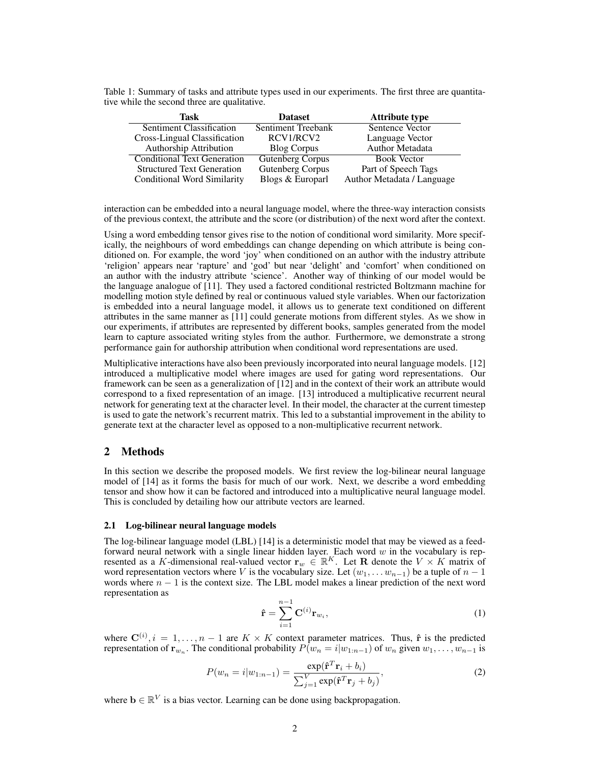| $\ldots$                           |                         |                            |  |  |  |
|------------------------------------|-------------------------|----------------------------|--|--|--|
| Task                               | <b>Dataset</b>          | <b>Attribute type</b>      |  |  |  |
| Sentiment Classification           | Sentiment Treebank      | Sentence Vector            |  |  |  |
| Cross-Lingual Classification       | RCV1/RCV2               | Language Vector            |  |  |  |
| <b>Authorship Attribution</b>      | <b>Blog Corpus</b>      | Author Metadata            |  |  |  |
| <b>Conditional Text Generation</b> | <b>Gutenberg Corpus</b> | <b>Book Vector</b>         |  |  |  |
| <b>Structured Text Generation</b>  | <b>Gutenberg Corpus</b> | Part of Speech Tags        |  |  |  |
| Conditional Word Similarity        | Blogs & Europarl        | Author Metadata / Language |  |  |  |

Table 1: Summary of tasks and attribute types used in our experiments. The first three are quantitative while the second three are qualitative.

interaction can be embedded into a neural language model, where the three-way interaction consists of the previous context, the attribute and the score (or distribution) of the next word after the context.

Using a word embedding tensor gives rise to the notion of conditional word similarity. More specifically, the neighbours of word embeddings can change depending on which attribute is being conditioned on. For example, the word 'joy' when conditioned on an author with the industry attribute 'religion' appears near 'rapture' and 'god' but near 'delight' and 'comfort' when conditioned on an author with the industry attribute 'science'. Another way of thinking of our model would be the language analogue of [11]. They used a factored conditional restricted Boltzmann machine for modelling motion style defined by real or continuous valued style variables. When our factorization is embedded into a neural language model, it allows us to generate text conditioned on different attributes in the same manner as [11] could generate motions from different styles. As we show in our experiments, if attributes are represented by different books, samples generated from the model learn to capture associated writing styles from the author. Furthermore, we demonstrate a strong performance gain for authorship attribution when conditional word representations are used.

Multiplicative interactions have also been previously incorporated into neural language models. [12] introduced a multiplicative model where images are used for gating word representations. Our framework can be seen as a generalization of [12] and in the context of their work an attribute would correspond to a fixed representation of an image. [13] introduced a multiplicative recurrent neural network for generating text at the character level. In their model, the character at the current timestep is used to gate the network's recurrent matrix. This led to a substantial improvement in the ability to generate text at the character level as opposed to a non-multiplicative recurrent network.

# 2 Methods

In this section we describe the proposed models. We first review the log-bilinear neural language model of [14] as it forms the basis for much of our work. Next, we describe a word embedding tensor and show how it can be factored and introduced into a multiplicative neural language model. This is concluded by detailing how our attribute vectors are learned.

## 2.1 Log-bilinear neural language models

The log-bilinear language model (LBL) [14] is a deterministic model that may be viewed as a feedforward neural network with a single linear hidden layer. Each word  $w$  in the vocabulary is represented as a K-dimensional real-valued vector  $\mathbf{r}_w \in \mathbb{R}^K$ . Let **R** denote the  $V \times K$  matrix of word representation vectors where V is the vocabulary size. Let  $(w_1, \ldots w_{n-1})$  be a tuple of  $n-1$ words where  $n - 1$  is the context size. The LBL model makes a linear prediction of the next word representation as

$$
\hat{\mathbf{r}} = \sum_{i=1}^{n-1} \mathbf{C}^{(i)} \mathbf{r}_{w_i},\tag{1}
$$

where  $\mathbf{C}^{(i)}$ ,  $i = 1, ..., n - 1$  are  $K \times K$  context parameter matrices. Thus,  $\hat{\mathbf{r}}$  is the predicted representation of  $\mathbf{r}_{w_n}$ . The conditional probability  $P(w_n = i|w_{1:n-1})$  of  $w_n$  given  $w_1, \ldots, w_{n-1}$  is

$$
P(w_n = i|w_{1:n-1}) = \frac{\exp(\hat{\mathbf{r}}^T \mathbf{r}_i + b_i)}{\sum_{j=1}^V \exp(\hat{\mathbf{r}}^T \mathbf{r}_j + b_j)},
$$
\n(2)

where  $\mathbf{b} \in \mathbb{R}^V$  is a bias vector. Learning can be done using backpropagation.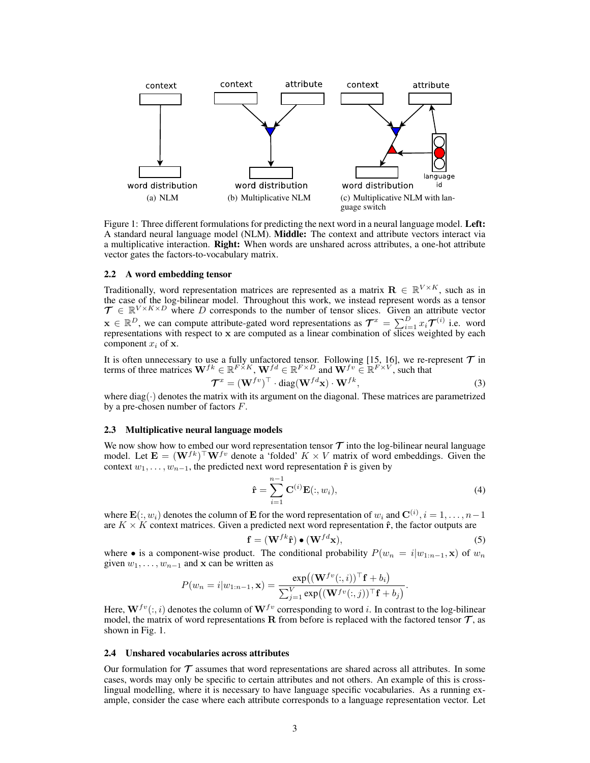

Figure 1: Three different formulations for predicting the next word in a neural language model. Left: A standard neural language model (NLM). Middle: The context and attribute vectors interact via a multiplicative interaction. Right: When words are unshared across attributes, a one-hot attribute vector gates the factors-to-vocabulary matrix.

#### 2.2 A word embedding tensor

Traditionally, word representation matrices are represented as a matrix  $\mathbf{R} \in \mathbb{R}^{V \times K}$ , such as in the case of the log-bilinear model. Throughout this work, we instead represent words as a tensor  $\mathcal{T} \in \mathbb{R}^{V \times K \times D}$  where D corresponds to the number of tensor slices. Given an attribute vector  $\mathbf{x} \in \mathbb{R}^D$ , we can compute attribute-gated word representations as  $\mathcal{T}^x = \sum_{i=1}^D x_i \mathcal{T}^{(i)}$  i.e. word representations with respect to x are computed as a linear combination of slices weighted by each component  $x_i$  of  $x$ .

It is often unnecessary to use a fully unfactored tensor. Following [15, 16], we re-represent  $\mathcal T$  in terms of three matrices  $W^{fk} \in \mathbb{R}^{F \times K}$ ,  $W^{fd} \in \mathbb{R}^{F \times D}$  and  $W^{fv} \in \mathbb{R}^{F \times V}$ , such that

$$
\mathcal{T}^x = (\mathbf{W}^{fv})^\top \cdot \text{diag}(\mathbf{W}^{fd}\mathbf{x}) \cdot \mathbf{W}^{fk},\tag{3}
$$

where diag( $\cdot$ ) denotes the matrix with its argument on the diagonal. These matrices are parametrized by a pre-chosen number of factors  $F$ .

#### 2.3 Multiplicative neural language models

We now show how to embed our word representation tensor  $\tau$  into the log-bilinear neural language model. Let  $\mathbf{E} = (\mathbf{W}^{fk})^{\top} \mathbf{W}^{fv}$  denote a 'folded'  $K \times V$  matrix of word embeddings. Given the context  $w_1, \ldots, w_{n-1}$ , the predicted next word representation  $\hat{\mathbf{r}}$  is given by

$$
\hat{\mathbf{r}} = \sum_{i=1}^{n-1} \mathbf{C}^{(i)} \mathbf{E}(:, w_i), \tag{4}
$$

where  $\mathbf{E}(:,w_i)$  denotes the column of  $\mathbf E$  for the word representation of  $w_i$  and  $\mathbf{C}^{(i)}, i=1,\ldots,n-1$ are  $K \times K$  context matrices. Given a predicted next word representation  $\hat{\mathbf{r}}$ , the factor outputs are

$$
\mathbf{f} = (\mathbf{W}^{fk}\hat{\mathbf{r}}) \bullet (\mathbf{W}^{fd}\mathbf{x}),\tag{5}
$$

where • is a component-wise product. The conditional probability  $P(w_n = i|w_{1:n-1}, \mathbf{x})$  of  $w_n$ given  $w_1, \ldots, w_{n-1}$  and x can be written as

$$
P(w_n = i | w_{1:n-1}, \mathbf{x}) = \frac{\exp((\mathbf{W}^{fv}(:,i))^{\top} \mathbf{f} + b_i)}{\sum_{j=1}^{V} \exp((\mathbf{W}^{fv}(:,j))^{\top} \mathbf{f} + b_j)}.
$$

Here,  $W^{fv}(:, i)$  denotes the column of  $W^{fv}$  corresponding to word i. In contrast to the log-bilinear model, the matrix of word representations  $\bf R$  from before is replaced with the factored tensor  $\bf{T}$ , as shown in Fig. 1.

#### 2.4 Unshared vocabularies across attributes

Our formulation for  $\tau$  assumes that word representations are shared across all attributes. In some cases, words may only be specific to certain attributes and not others. An example of this is crosslingual modelling, where it is necessary to have language specific vocabularies. As a running example, consider the case where each attribute corresponds to a language representation vector. Let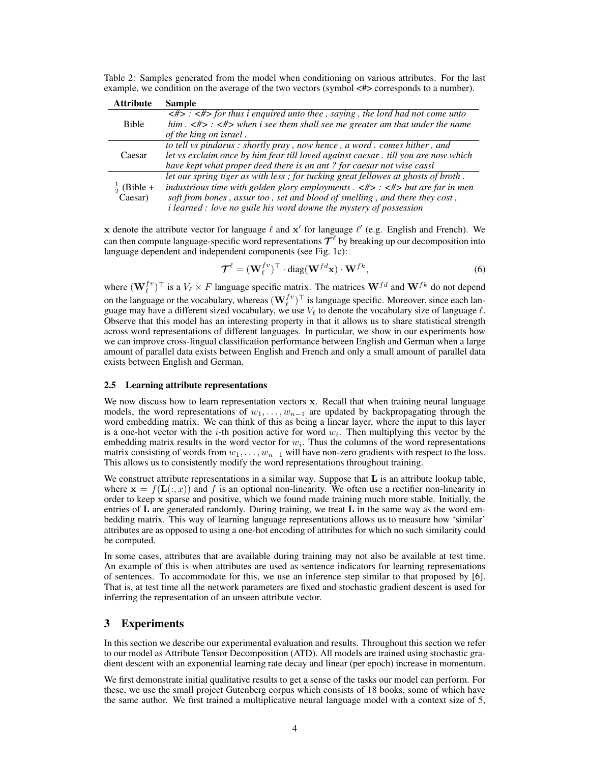Table 2: Samples generated from the model when conditioning on various attributes. For the last example, we condition on the average of the two vectors (symbol <#> corresponds to a number).

| <b>Attribute</b> | <b>Sample</b>                                                                                                                                                                                                                                                      |
|------------------|--------------------------------------------------------------------------------------------------------------------------------------------------------------------------------------------------------------------------------------------------------------------|
|                  | $\langle 12, 12 \rangle$ = $\langle 24, 32 \rangle$ for thus i enquired unto thee, saying, the lord had not come unto                                                                                                                                              |
| <b>Bible</b>     | him $\leq$ #> $\leq$ $\leq$ $\leq$ $\leq$ $\leq$ $\leq$ $\leq$ $\leq$ $\leq$ $\leq$ $\leq$ $\leq$ $\leq$ $\leq$ $\leq$ $\leq$ $\leq$ $\leq$ $\leq$ $\leq$ $\leq$ $\leq$ $\leq$ $\leq$ $\leq$ $\leq$ $\leq$ $\leq$ $\leq$ $\leq$ $\leq$ $\leq$ $\leq$ $\leq$ $\leq$ |
|                  | of the king on israel.                                                                                                                                                                                                                                             |
|                  | to tell vs pindarus : shortly pray, now hence, a word. comes hither, and                                                                                                                                                                                           |
| Caesar           | let vs exclaim once by him fear till loved against caesar . till you are now which                                                                                                                                                                                 |
|                  | have kept what proper deed there is an ant? for caesar not wise cassi                                                                                                                                                                                              |
|                  | let our spring tiger as with less; for tucking great fellowes at ghosts of broth.                                                                                                                                                                                  |
| $(Bible +$       | industrious time with golden glory employments $\langle 4 \rangle$ : $\langle 4 \rangle$ but are far in men                                                                                                                                                        |
| Caesar)          | soft from bones, assurt oo, set and blood of smelling, and there they cost,                                                                                                                                                                                        |
|                  | <i>i learned : love no guile his word downe the mystery of possession</i>                                                                                                                                                                                          |

x denote the attribute vector for language  $\ell$  and  $x'$  for language  $\ell'$  (e.g. English and French). We can then compute language-specific word representations  $\mathcal{T}^\ell$  by breaking up our decomposition into language dependent and independent components (see Fig. 1c):

$$
\mathcal{T}^{\ell} = (\mathbf{W}_{\ell}^{fv})^{\top} \cdot \text{diag}(\mathbf{W}^{fd}\mathbf{x}) \cdot \mathbf{W}^{fk},\tag{6}
$$

where  $(\mathbf{W}_{\ell}^{fv})^{\top}$  is a  $V_{\ell} \times F$  language specific matrix. The matrices  $\mathbf{W}^{fd}$  and  $\mathbf{W}^{fk}$  do not depend on the language or the vocabulary, whereas  $(\mathbf{W}_{\ell}^{fv})^{\top}$  is language specific. Moreover, since each language may have a different sized vocabulary, we use  $V_\ell$  to denote the vocabulary size of language  $\ell$ . Observe that this model has an interesting property in that it allows us to share statistical strength across word representations of different languages. In particular, we show in our experiments how we can improve cross-lingual classification performance between English and German when a large amount of parallel data exists between English and French and only a small amount of parallel data exists between English and German.

## 2.5 Learning attribute representations

We now discuss how to learn representation vectors x. Recall that when training neural language models, the word representations of  $w_1, \ldots, w_{n-1}$  are updated by backpropagating through the word embedding matrix. We can think of this as being a linear layer, where the input to this layer is a one-hot vector with the *i*-th position active for word  $w_i$ . Then multiplying this vector by the embedding matrix results in the word vector for  $w_i$ . Thus the columns of the word representations matrix consisting of words from  $w_1, \ldots, w_{n-1}$  will have non-zero gradients with respect to the loss. This allows us to consistently modify the word representations throughout training.

We construct attribute representations in a similar way. Suppose that L is an attribute lookup table, where  $\mathbf{x} = f(\mathbf{L}(:, x))$  and f is an optional non-linearity. We often use a rectifier non-linearity in order to keep x sparse and positive, which we found made training much more stable. Initially, the entries of  $L$  are generated randomly. During training, we treat  $L$  in the same way as the word embedding matrix. This way of learning language representations allows us to measure how 'similar' attributes are as opposed to using a one-hot encoding of attributes for which no such similarity could be computed.

In some cases, attributes that are available during training may not also be available at test time. An example of this is when attributes are used as sentence indicators for learning representations of sentences. To accommodate for this, we use an inference step similar to that proposed by [6]. That is, at test time all the network parameters are fixed and stochastic gradient descent is used for inferring the representation of an unseen attribute vector.

## 3 Experiments

In this section we describe our experimental evaluation and results. Throughout this section we refer to our model as Attribute Tensor Decomposition (ATD). All models are trained using stochastic gradient descent with an exponential learning rate decay and linear (per epoch) increase in momentum.

We first demonstrate initial qualitative results to get a sense of the tasks our model can perform. For these, we use the small project Gutenberg corpus which consists of 18 books, some of which have the same author. We first trained a multiplicative neural language model with a context size of 5,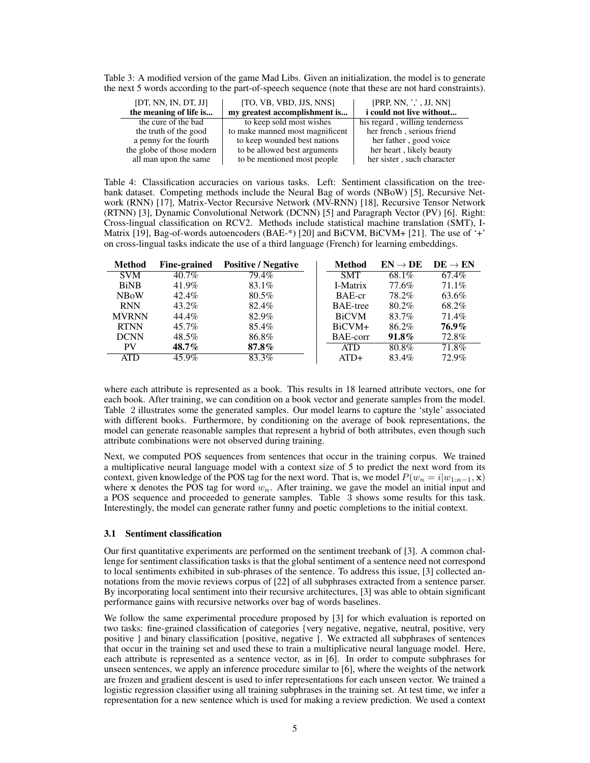Table 3: A modified version of the game Mad Libs. Given an initialization, the model is to generate the next 5 words according to the part-of-speech sequence (note that these are not hard constraints).

| [DT, NN, IN, DT, JJ]<br>the meaning of life is | [TO, VB, VBD, JJS, NNS]<br>my greatest accomplishment is | [PRP, NN, ',', JJ, NN]<br>i could not live without |
|------------------------------------------------|----------------------------------------------------------|----------------------------------------------------|
| the cure of the bad                            | to keep sold most wishes                                 | his regard, willing tenderness                     |
| the truth of the good                          | to make manned most magnificent                          | her french, serious friend                         |
| a penny for the fourth                         | to keep wounded best nations                             | her father, good voice                             |
| the globe of those modern                      | to be allowed best arguments                             | her heart, likely beauty                           |
| all man upon the same                          | to be mentioned most people                              | her sister, such character                         |

Table 4: Classification accuracies on various tasks. Left: Sentiment classification on the treebank dataset. Competing methods include the Neural Bag of words (NBoW) [5], Recursive Network (RNN) [17], Matrix-Vector Recursive Network (MV-RNN) [18], Recursive Tensor Network (RTNN) [3], Dynamic Convolutional Network (DCNN) [5] and Paragraph Vector (PV) [6]. Right: Cross-lingual classification on RCV2. Methods include statistical machine translation (SMT), I-Matrix [19], Bag-of-words autoencoders (BAE-\*) [20] and BiCVM, BiCVM+ [21]. The use of '+' on cross-lingual tasks indicate the use of a third language (French) for learning embeddings.

| <b>Method</b> | Fine-grained | <b>Positive / Negative</b> | Method       | $EN \rightarrow DE$ | $DE \rightarrow EN$ |
|---------------|--------------|----------------------------|--------------|---------------------|---------------------|
| <b>SVM</b>    | $40.7\%$     | 79.4%                      | <b>SMT</b>   | 68.1%               | 67.4%               |
| <b>BiNB</b>   | 41.9%        | 83.1%                      | I-Matrix     | 77.6%               | 71.1%               |
| <b>NBoW</b>   | $42.4\%$     | $80.5\%$                   | BAE-cr       | 78.2%               | 63.6%               |
| <b>RNN</b>    | 43.2%        | 82.4%                      | BAE-tree     | 80.2%               | 68.2%               |
| <b>MVRNN</b>  | 44.4%        | 82.9%                      | <b>BiCVM</b> | 83.7%               | 71.4%               |
| <b>RTNN</b>   | 45.7%        | 85.4%                      | $BiCVM+$     | 86.2%               | 76.9%               |
| <b>DCNN</b>   | $48.5\%$     | 86.8%                      | BAE-corr     | $91.8\%$            | 72.8%               |
| PV            | $48.7\%$     | $87.8\%$                   | <b>ATD</b>   | $80.8\%$            | $71.8\%$            |
| ATD           | 45.9%        | 83.3%                      | $ATD+$       | 83.4%               | 72.9%               |

where each attribute is represented as a book. This results in 18 learned attribute vectors, one for each book. After training, we can condition on a book vector and generate samples from the model. Table 2 illustrates some the generated samples. Our model learns to capture the 'style' associated with different books. Furthermore, by conditioning on the average of book representations, the model can generate reasonable samples that represent a hybrid of both attributes, even though such attribute combinations were not observed during training.

Next, we computed POS sequences from sentences that occur in the training corpus. We trained a multiplicative neural language model with a context size of 5 to predict the next word from its context, given knowledge of the POS tag for the next word. That is, we model  $P(w_n = i|w_{1:n-1}, \mathbf{x})$ where x denotes the POS tag for word  $w_n$ . After training, we gave the model an initial input and a POS sequence and proceeded to generate samples. Table 3 shows some results for this task. Interestingly, the model can generate rather funny and poetic completions to the initial context.

## 3.1 Sentiment classification

Our first quantitative experiments are performed on the sentiment treebank of [3]. A common challenge for sentiment classification tasks is that the global sentiment of a sentence need not correspond to local sentiments exhibited in sub-phrases of the sentence. To address this issue, [3] collected annotations from the movie reviews corpus of [22] of all subphrases extracted from a sentence parser. By incorporating local sentiment into their recursive architectures, [3] was able to obtain significant performance gains with recursive networks over bag of words baselines.

We follow the same experimental procedure proposed by [3] for which evaluation is reported on two tasks: fine-grained classification of categories {very negative, negative, neutral, positive, very positive } and binary classification {positive, negative }. We extracted all subphrases of sentences that occur in the training set and used these to train a multiplicative neural language model. Here, each attribute is represented as a sentence vector, as in [6]. In order to compute subphrases for unseen sentences, we apply an inference procedure similar to [6], where the weights of the network are frozen and gradient descent is used to infer representations for each unseen vector. We trained a logistic regression classifier using all training subphrases in the training set. At test time, we infer a representation for a new sentence which is used for making a review prediction. We used a context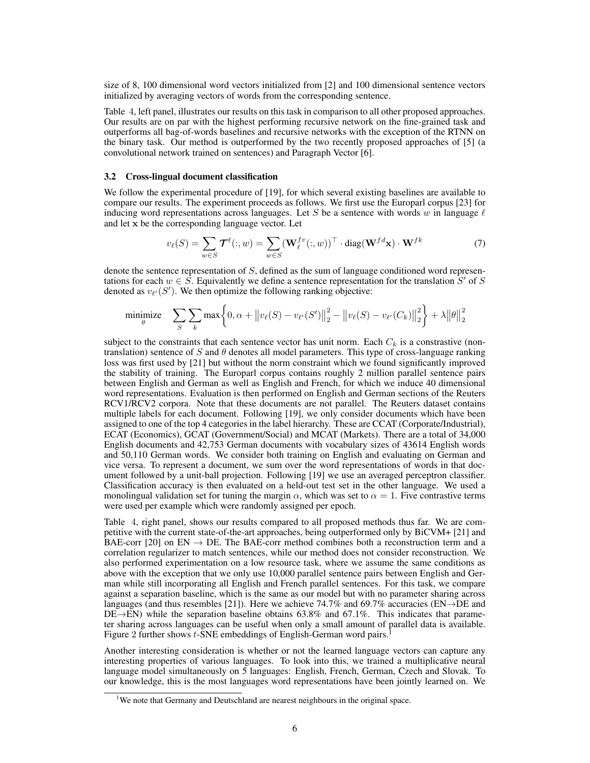size of 8, 100 dimensional word vectors initialized from [2] and 100 dimensional sentence vectors initialized by averaging vectors of words from the corresponding sentence.

Table 4, left panel, illustrates our results on this task in comparison to all other proposed approaches. Our results are on par with the highest performing recursive network on the fine-grained task and outperforms all bag-of-words baselines and recursive networks with the exception of the RTNN on the binary task. Our method is outperformed by the two recently proposed approaches of [5] (a convolutional network trained on sentences) and Paragraph Vector [6].

#### 3.2 Cross-lingual document classification

We follow the experimental procedure of [19], for which several existing baselines are available to compare our results. The experiment proceeds as follows. We first use the Europarl corpus [23] for inducing word representations across languages. Let S be a sentence with words w in language  $\ell$ and let x be the corresponding language vector. Let

$$
v_{\ell}(S) = \sum_{w \in S} \mathcal{T}^{\ell}(:, w) = \sum_{w \in S} (\mathbf{W}_{\ell}^{fv}(:, w))^{\top} \cdot \text{diag}(\mathbf{W}^{fd}\mathbf{x}) \cdot \mathbf{W}^{fk}
$$
(7)

denote the sentence representation of S, defined as the sum of language conditioned word representations for each  $w \in \hat{S}$ . Equivalently we define a sentence representation for the translation  $S'$  of  $S$ denoted as  $v_{\ell'}(S')$ . We then optimize the following ranking objective:

minimize 
$$
\sum_{S} \sum_{k} \max \left\{ 0, \alpha + ||v_{\ell}(S) - v_{\ell'}(S')||_2^2 - ||v_{\ell}(S) - v_{\ell'}(C_k)||_2^2 \right\} + \lambda ||\theta||_2^2
$$

subject to the constraints that each sentence vector has unit norm. Each  $C_k$  is a constrastive (nontranslation) sentence of S and  $\theta$  denotes all model parameters. This type of cross-language ranking loss was first used by [21] but without the norm constraint which we found significantly improved the stability of training. The Europarl corpus contains roughly 2 million parallel sentence pairs between English and German as well as English and French, for which we induce 40 dimensional word representations. Evaluation is then performed on English and German sections of the Reuters RCV1/RCV2 corpora. Note that these documents are not parallel. The Reuters dataset contains multiple labels for each document. Following [19], we only consider documents which have been assigned to one of the top 4 categories in the label hierarchy. These are CCAT (Corporate/Industrial), ECAT (Economics), GCAT (Government/Social) and MCAT (Markets). There are a total of 34,000 English documents and 42,753 German documents with vocabulary sizes of 43614 English words and 50,110 German words. We consider both training on English and evaluating on German and vice versa. To represent a document, we sum over the word representations of words in that document followed by a unit-ball projection. Following [19] we use an averaged perceptron classifier. Classification accuracy is then evaluated on a held-out test set in the other language. We used a monolingual validation set for tuning the margin  $\alpha$ , which was set to  $\alpha = 1$ . Five contrastive terms were used per example which were randomly assigned per epoch.

Table 4, right panel, shows our results compared to all proposed methods thus far. We are competitive with the current state-of-the-art approaches, being outperformed only by BiCVM+ [21] and BAE-corr [20] on EN  $\rightarrow$  DE. The BAE-corr method combines both a reconstruction term and a correlation regularizer to match sentences, while our method does not consider reconstruction. We also performed experimentation on a low resource task, where we assume the same conditions as above with the exception that we only use 10,000 parallel sentence pairs between English and German while still incorporating all English and French parallel sentences. For this task, we compare against a separation baseline, which is the same as our model but with no parameter sharing across languages (and thus resembles [21]). Here we achieve 74.7% and 69.7% accuracies ( $EN\rightarrow DE$  and DE→EN) while the separation baseline obtains 63.8% and 67.1%. This indicates that parameter sharing across languages can be useful when only a small amount of parallel data is available. Figure 2 further shows t-SNE embeddings of English-German word pairs.

Another interesting consideration is whether or not the learned language vectors can capture any interesting properties of various languages. To look into this, we trained a multiplicative neural language model simultaneously on 5 languages: English, French, German, Czech and Slovak. To our knowledge, this is the most languages word representations have been jointly learned on. We

<sup>&</sup>lt;sup>1</sup>We note that Germany and Deutschland are nearest neighbours in the original space.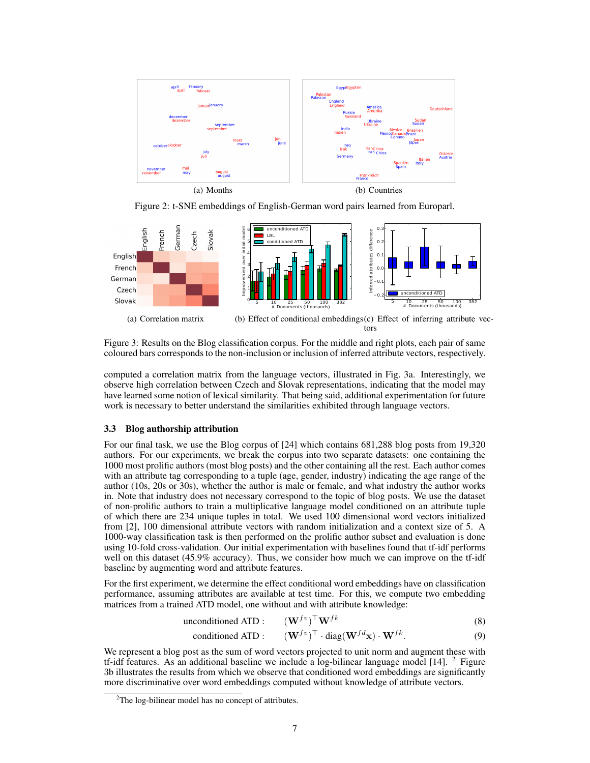

Figure 2: t-SNE embeddings of English-German word pairs learned from Europarl.



Figure 3: Results on the Blog classification corpus. For the middle and right plots, each pair of same coloured bars corresponds to the non-inclusion or inclusion of inferred attribute vectors, respectively.

computed a correlation matrix from the language vectors, illustrated in Fig. 3a. Interestingly, we observe high correlation between Czech and Slovak representations, indicating that the model may have learned some notion of lexical similarity. That being said, additional experimentation for future work is necessary to better understand the similarities exhibited through language vectors.

## 3.3 Blog authorship attribution

For our final task, we use the Blog corpus of [24] which contains 681,288 blog posts from 19,320 authors. For our experiments, we break the corpus into two separate datasets: one containing the 1000 most prolific authors (most blog posts) and the other containing all the rest. Each author comes with an attribute tag corresponding to a tuple (age, gender, industry) indicating the age range of the author (10s, 20s or 30s), whether the author is male or female, and what industry the author works in. Note that industry does not necessary correspond to the topic of blog posts. We use the dataset of non-prolific authors to train a multiplicative language model conditioned on an attribute tuple of which there are 234 unique tuples in total. We used 100 dimensional word vectors initialized from [2], 100 dimensional attribute vectors with random initialization and a context size of 5. A 1000-way classification task is then performed on the prolific author subset and evaluation is done using 10-fold cross-validation. Our initial experimentation with baselines found that tf-idf performs well on this dataset (45.9% accuracy). Thus, we consider how much we can improve on the tf-idf baseline by augmenting word and attribute features.

For the first experiment, we determine the effect conditional word embeddings have on classification performance, assuming attributes are available at test time. For this, we compute two embedding matrices from a trained ATD model, one without and with attribute knowledge:

unconditioned ATP : 
$$
(\mathbf{W}^{fv})^{\top} \mathbf{W}^{fk}
$$
 (8)

$$
\text{conditioned ATP}: \qquad (\mathbf{W}^{fv})^{\top} \cdot \text{diag}(\mathbf{W}^{fd}\mathbf{x}) \cdot \mathbf{W}^{fk}. \tag{9}
$$

We represent a blog post as the sum of word vectors projected to unit norm and augment these with tf-idf features. As an additional baseline we include a log-bilinear language model  $[14]$ . <sup>2</sup> Figure 3b illustrates the results from which we observe that conditioned word embeddings are significantly more discriminative over word embeddings computed without knowledge of attribute vectors.

 $2$ The log-bilinear model has no concept of attributes.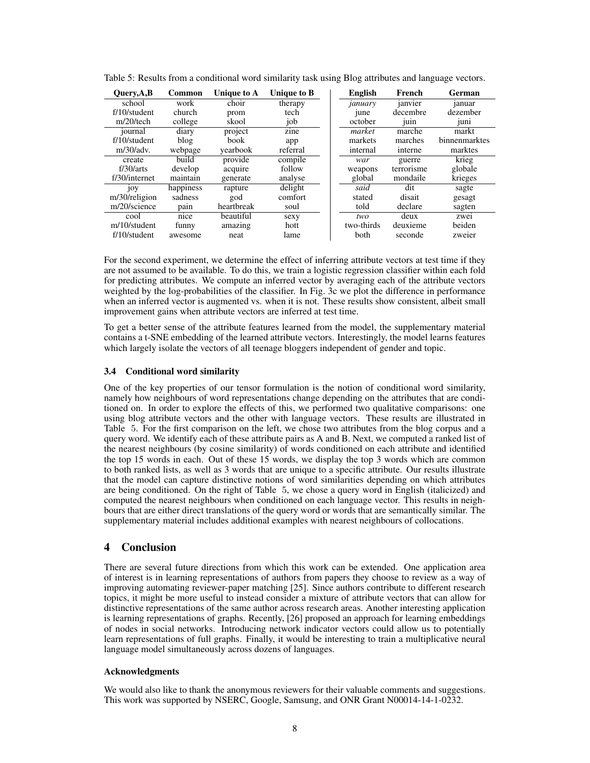| Query, A, B     | <b>Common</b> | Unique to A | Unique to B | <b>English</b>   | French               | German        |
|-----------------|---------------|-------------|-------------|------------------|----------------------|---------------|
| school          | work          | choir       | therapy     | january          | janvier              | januar        |
| $f/10$ /student | church        | prom        | tech        | <sub>1</sub> une | decembre             | dezember      |
| $m/20$ /tech    | college       | skool       | job         | october          | $1$ u <sub>1</sub> n | $1$ uni       |
| journal         | diary         | project     | zine        | market           | marche               | markt         |
| $f/10$ /student | blog          | book        | app         | markets          | marches              | binnenmarktes |
| m/30/adv.       | webpage       | yearbook    | referral    | internal         | interne              | marktes       |
| create          | build         | provide     | compile     | war              | guerre               | krieg         |
| f/30/arts       | develop       | acquire     | follow      | weapons          | terrorisme           | globale       |
| f/30/internet   | maintain      | generate    | analyse     | global           | mondaile             | krieges       |
| 10 <sub>y</sub> | happiness     | rapture     | delight     | said             | dit                  | sagte         |
| m/30/religion   | sadness       | god         | comfort     | stated           | disait               | gesagt        |
| m/20/science    | pain          | heartbreak  | soul        | told             | declare              | sagten        |
| cool            | nice          | beautiful   | sexy        | two              | deux                 | zwei          |
| m/10/student    | funny         | amazing     | hott        | two-thirds       | deuxieme             | beiden        |
| $f/10$ /student | awesome       | neat        | lame        | both             | seconde              | zweier        |

Table 5: Results from a conditional word similarity task using Blog attributes and language vectors.

For the second experiment, we determine the effect of inferring attribute vectors at test time if they are not assumed to be available. To do this, we train a logistic regression classifier within each fold for predicting attributes. We compute an inferred vector by averaging each of the attribute vectors weighted by the log-probabilities of the classifier. In Fig. 3c we plot the difference in performance when an inferred vector is augmented vs. when it is not. These results show consistent, albeit small improvement gains when attribute vectors are inferred at test time.

To get a better sense of the attribute features learned from the model, the supplementary material contains a t-SNE embedding of the learned attribute vectors. Interestingly, the model learns features which largely isolate the vectors of all teenage bloggers independent of gender and topic.

## 3.4 Conditional word similarity

One of the key properties of our tensor formulation is the notion of conditional word similarity, namely how neighbours of word representations change depending on the attributes that are conditioned on. In order to explore the effects of this, we performed two qualitative comparisons: one using blog attribute vectors and the other with language vectors. These results are illustrated in Table 5. For the first comparison on the left, we chose two attributes from the blog corpus and a query word. We identify each of these attribute pairs as A and B. Next, we computed a ranked list of the nearest neighbours (by cosine similarity) of words conditioned on each attribute and identified the top 15 words in each. Out of these 15 words, we display the top 3 words which are common to both ranked lists, as well as 3 words that are unique to a specific attribute. Our results illustrate that the model can capture distinctive notions of word similarities depending on which attributes are being conditioned. On the right of Table 5, we chose a query word in English (italicized) and computed the nearest neighbours when conditioned on each language vector. This results in neighbours that are either direct translations of the query word or words that are semantically similar. The supplementary material includes additional examples with nearest neighbours of collocations.

# 4 Conclusion

There are several future directions from which this work can be extended. One application area of interest is in learning representations of authors from papers they choose to review as a way of improving automating reviewer-paper matching [25]. Since authors contribute to different research topics, it might be more useful to instead consider a mixture of attribute vectors that can allow for distinctive representations of the same author across research areas. Another interesting application is learning representations of graphs. Recently, [26] proposed an approach for learning embeddings of nodes in social networks. Introducing network indicator vectors could allow us to potentially learn representations of full graphs. Finally, it would be interesting to train a multiplicative neural language model simultaneously across dozens of languages.

## Acknowledgments

We would also like to thank the anonymous reviewers for their valuable comments and suggestions. This work was supported by NSERC, Google, Samsung, and ONR Grant N00014-14-1-0232.